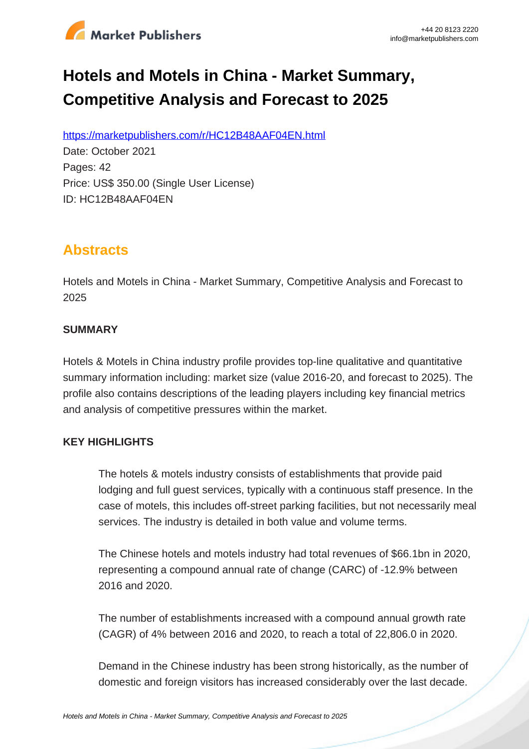

# **Hotels and Motels in China - Market Summary, Competitive Analysis and Forecast to 2025**

https://marketpublishers.com/r/HC12B48AAF04EN.html

Date: October 2021 Pages: 42 Price: US\$ 350.00 (Single User License) ID: HC12B48AAF04EN

# **Abstracts**

Hotels and Motels in China - Market Summary, Competitive Analysis and Forecast to 2025

#### **SUMMARY**

Hotels & Motels in China industry profile provides top-line qualitative and quantitative summary information including: market size (value 2016-20, and forecast to 2025). The profile also contains descriptions of the leading players including key financial metrics and analysis of competitive pressures within the market.

### **KEY HIGHLIGHTS**

The hotels & motels industry consists of establishments that provide paid lodging and full guest services, typically with a continuous staff presence. In the case of motels, this includes off-street parking facilities, but not necessarily meal services. The industry is detailed in both value and volume terms.

The Chinese hotels and motels industry had total revenues of \$66.1bn in 2020, representing a compound annual rate of change (CARC) of -12.9% between 2016 and 2020.

The number of establishments increased with a compound annual growth rate (CAGR) of 4% between 2016 and 2020, to reach a total of 22,806.0 in 2020.

Demand in the Chinese industry has been strong historically, as the number of domestic and foreign visitors has increased considerably over the last decade.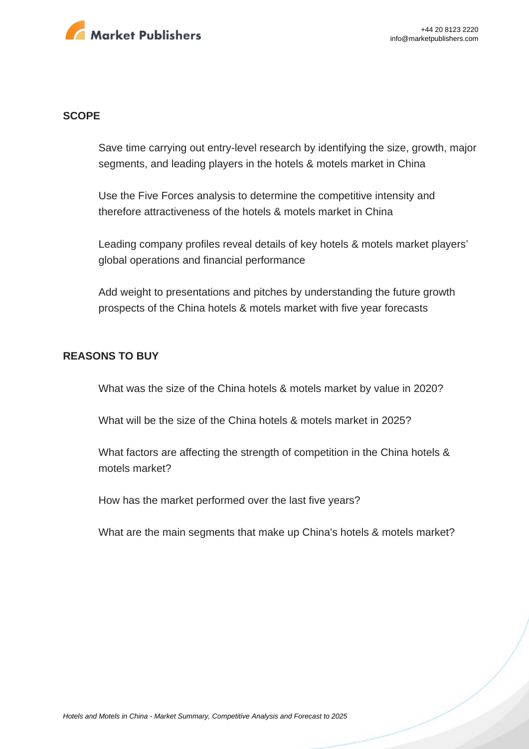

#### **SCOPE**

Save time carrying out entry-level research by identifying the size, growth, major segments, and leading players in the hotels & motels market in China

Use the Five Forces analysis to determine the competitive intensity and therefore attractiveness of the hotels & motels market in China

Leading company profiles reveal details of key hotels & motels market players' global operations and financial performance

Add weight to presentations and pitches by understanding the future growth prospects of the China hotels & motels market with five year forecasts

#### **REASONS TO BUY**

What was the size of the China hotels & motels market by value in 2020?

What will be the size of the China hotels & motels market in 2025?

What factors are affecting the strength of competition in the China hotels & motels market?

How has the market performed over the last five years?

What are the main segments that make up China's hotels & motels market?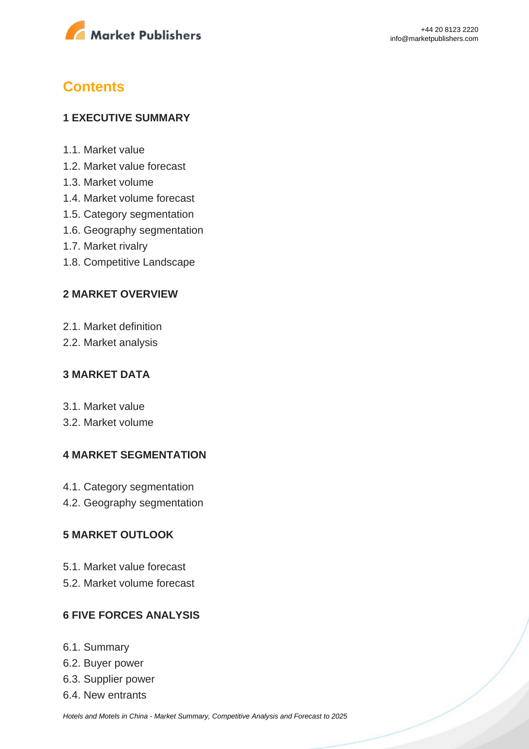

# **Contents**

#### **1 EXECUTIVE SUMMARY**

- 1.1. Market value
- 1.2. Market value forecast
- 1.3. Market volume
- 1.4. Market volume forecast
- 1.5. Category segmentation
- 1.6. Geography segmentation
- 1.7. Market rivalry
- 1.8. Competitive Landscape

#### **2 MARKET OVERVIEW**

- 2.1. Market definition
- 2.2. Market analysis

#### **3 MARKET DATA**

- 3.1. Market value
- 3.2. Market volume

#### **4 MARKET SEGMENTATION**

- 4.1. Category segmentation
- 4.2. Geography segmentation

#### **5 MARKET OUTLOOK**

- 5.1. Market value forecast
- 5.2. Market volume forecast

#### **6 FIVE FORCES ANALYSIS**

- 6.1. Summary
- 6.2. Buyer power
- 6.3. Supplier power
- 6.4. New entrants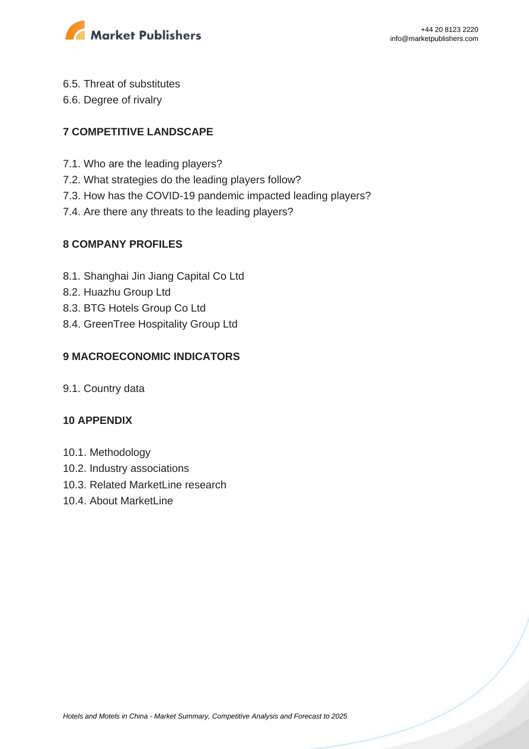

- 6.5. Threat of substitutes
- 6.6. Degree of rivalry

### **7 COMPETITIVE LANDSCAPE**

- 7.1. Who are the leading players?
- 7.2. What strategies do the leading players follow?
- 7.3. How has the COVID-19 pandemic impacted leading players?
- 7.4. Are there any threats to the leading players?

#### **8 COMPANY PROFILES**

- 8.1. Shanghai Jin Jiang Capital Co Ltd
- 8.2. Huazhu Group Ltd
- 8.3. BTG Hotels Group Co Ltd
- 8.4. GreenTree Hospitality Group Ltd

### **9 MACROECONOMIC INDICATORS**

9.1. Country data

#### **10 APPENDIX**

- 10.1. Methodology
- 10.2. Industry associations
- 10.3. Related MarketLine research
- 10.4. About MarketLine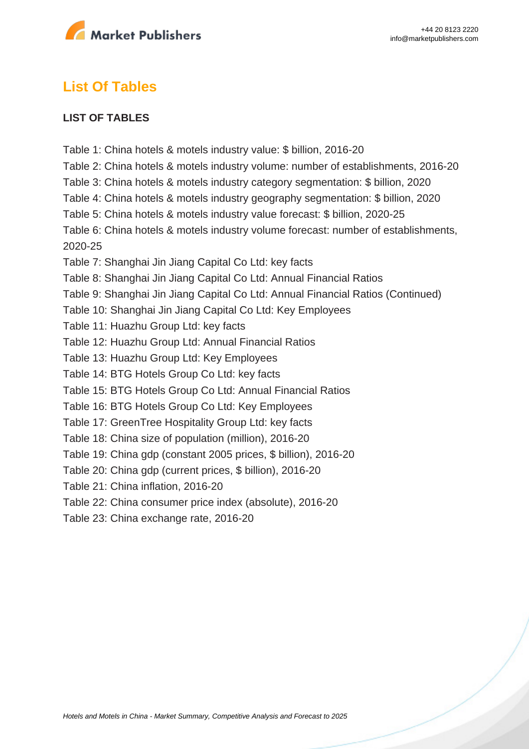

## **List Of Tables**

#### **LIST OF TABLES**

Table 1: China hotels & motels industry value: \$ billion, 2016-20 Table 2: China hotels & motels industry volume: number of establishments, 2016-20 Table 3: China hotels & motels industry category segmentation: \$ billion, 2020 Table 4: China hotels & motels industry geography segmentation: \$ billion, 2020 Table 5: China hotels & motels industry value forecast: \$ billion, 2020-25 Table 6: China hotels & motels industry volume forecast: number of establishments, 2020-25 Table 7: Shanghai Jin Jiang Capital Co Ltd: key facts Table 8: Shanghai Jin Jiang Capital Co Ltd: Annual Financial Ratios Table 9: Shanghai Jin Jiang Capital Co Ltd: Annual Financial Ratios (Continued) Table 10: Shanghai Jin Jiang Capital Co Ltd: Key Employees Table 11: Huazhu Group Ltd: key facts Table 12: Huazhu Group Ltd: Annual Financial Ratios Table 13: Huazhu Group Ltd: Key Employees Table 14: BTG Hotels Group Co Ltd: key facts Table 15: BTG Hotels Group Co Ltd: Annual Financial Ratios Table 16: BTG Hotels Group Co Ltd: Key Employees Table 17: GreenTree Hospitality Group Ltd: key facts Table 18: China size of population (million), 2016-20 Table 19: China gdp (constant 2005 prices, \$ billion), 2016-20 Table 20: China gdp (current prices, \$ billion), 2016-20 Table 21: China inflation, 2016-20 Table 22: China consumer price index (absolute), 2016-20 Table 23: China exchange rate, 2016-20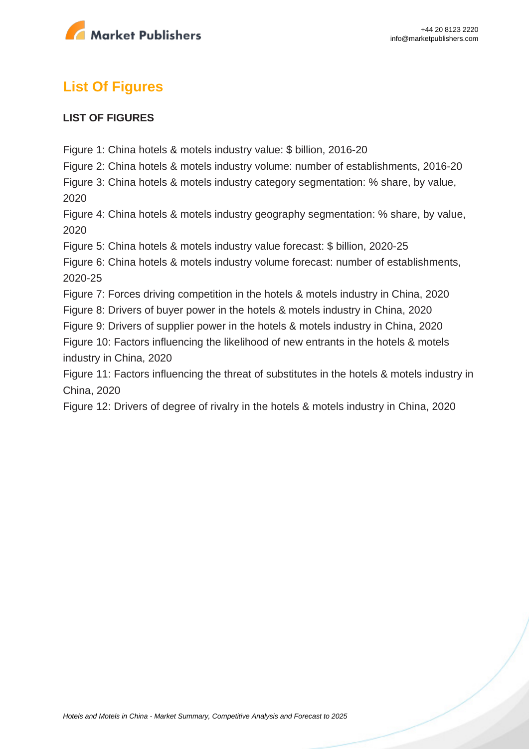

# **List Of Figures**

#### **LIST OF FIGURES**

Figure 1: China hotels & motels industry value: \$ billion, 2016-20

Figure 2: China hotels & motels industry volume: number of establishments, 2016-20

Figure 3: China hotels & motels industry category segmentation: % share, by value, 2020

Figure 4: China hotels & motels industry geography segmentation: % share, by value, 2020

Figure 5: China hotels & motels industry value forecast: \$ billion, 2020-25

Figure 6: China hotels & motels industry volume forecast: number of establishments, 2020-25

Figure 7: Forces driving competition in the hotels & motels industry in China, 2020

Figure 8: Drivers of buyer power in the hotels & motels industry in China, 2020

Figure 9: Drivers of supplier power in the hotels & motels industry in China, 2020

Figure 10: Factors influencing the likelihood of new entrants in the hotels & motels industry in China, 2020

Figure 11: Factors influencing the threat of substitutes in the hotels & motels industry in China, 2020

Figure 12: Drivers of degree of rivalry in the hotels & motels industry in China, 2020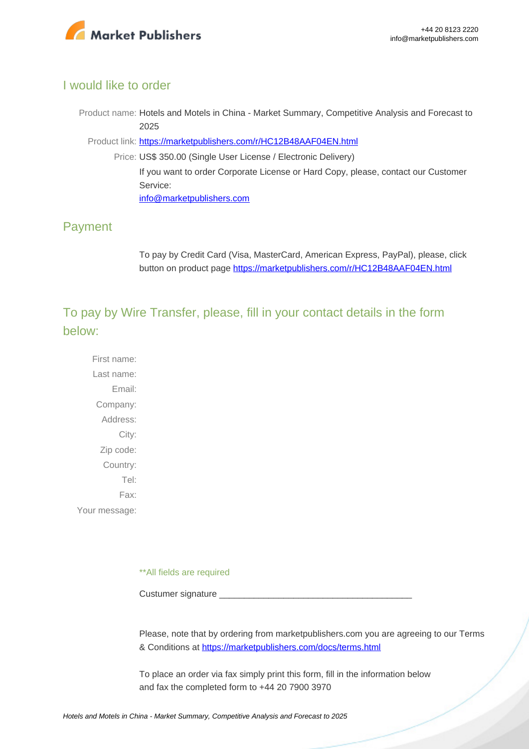

#### I would like to order

Product name: Hotels and Motels in China - Market Summary, Competitive Analysis and Forecast to 2025

Product link: [https://marketpublishers.com/r/HC12B48AAF04EN.html](https://marketpublishers.com/report/services/hotels/hotels-n-motels-in-china-market-summary-competitive-analysis-n-forecast-to-2025.html)

Price: US\$ 350.00 (Single User License / Electronic Delivery) If you want to order Corporate License or Hard Copy, please, contact our Customer Service: [info@marketpublishers.com](mailto:info@marketpublishers.com)

### Payment

To pay by Credit Card (Visa, MasterCard, American Express, PayPal), please, click button on product page [https://marketpublishers.com/r/HC12B48AAF04EN.html](https://marketpublishers.com/report/services/hotels/hotels-n-motels-in-china-market-summary-competitive-analysis-n-forecast-to-2025.html)

To pay by Wire Transfer, please, fill in your contact details in the form below:

First name: Last name: Email: Company: Address: City: Zip code: Country: Tel: Fax: Your message:

\*\*All fields are required

Custumer signature

Please, note that by ordering from marketpublishers.com you are agreeing to our Terms & Conditions at<https://marketpublishers.com/docs/terms.html>

To place an order via fax simply print this form, fill in the information below and fax the completed form to +44 20 7900 3970